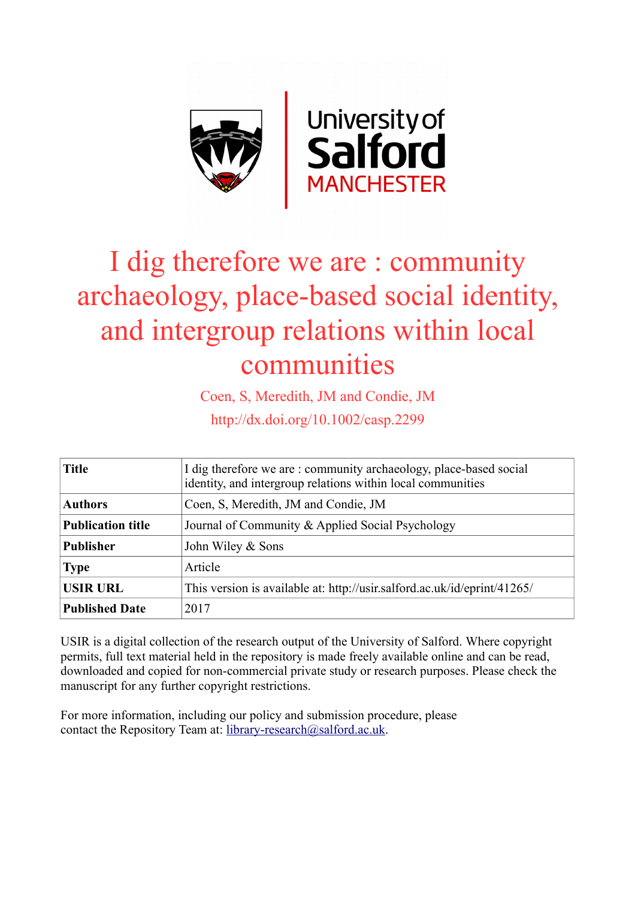

# I dig therefore we are : community archaeology, place-based social identity, and intergroup relations within local communities

Coen, S, Meredith, JM and Condie, JM

http://dx.doi.org/10.1002/casp.2299

| <b>Title</b>             | I dig therefore we are: community archaeology, place-based social<br>identity, and intergroup relations within local communities |  |  |  |
|--------------------------|----------------------------------------------------------------------------------------------------------------------------------|--|--|--|
| <b>Authors</b>           | Coen, S. Meredith, JM and Condie, JM                                                                                             |  |  |  |
| <b>Publication title</b> | Journal of Community & Applied Social Psychology                                                                                 |  |  |  |
| <b>Publisher</b>         | John Wiley & Sons                                                                                                                |  |  |  |
| <b>Type</b>              | Article                                                                                                                          |  |  |  |
| <b>USIR URL</b>          | This version is available at: http://usir.salford.ac.uk/id/eprint/41265/                                                         |  |  |  |
| <b>Published Date</b>    | 2017                                                                                                                             |  |  |  |

USIR is a digital collection of the research output of the University of Salford. Where copyright permits, full text material held in the repository is made freely available online and can be read, downloaded and copied for non-commercial private study or research purposes. Please check the manuscript for any further copyright restrictions.

For more information, including our policy and submission procedure, please contact the Repository Team at: [library-research@salford.ac.uk.](mailto:library-research@salford.ac.uk)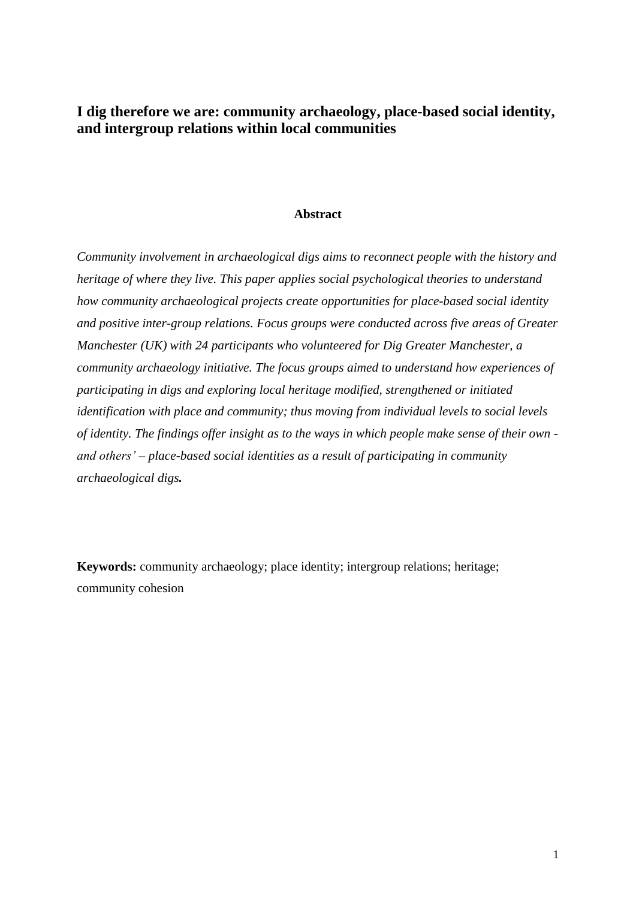**I dig therefore we are: community archaeology, place-based social identity, and intergroup relations within local communities** 

## **Abstract**

*Community involvement in archaeological digs aims to reconnect people with the history and heritage of where they live. This paper applies social psychological theories to understand how community archaeological projects create opportunities for place-based social identity and positive inter-group relations. Focus groups were conducted across five areas of Greater Manchester (UK) with 24 participants who volunteered for Dig Greater Manchester, a community archaeology initiative. The focus groups aimed to understand how experiences of participating in digs and exploring local heritage modified, strengthened or initiated identification with place and community; thus moving from individual levels to social levels of identity. The findings offer insight as to the ways in which people make sense of their own and others' – place-based social identities as a result of participating in community archaeological digs.*

**Keywords:** community archaeology; place identity; intergroup relations; heritage; community cohesion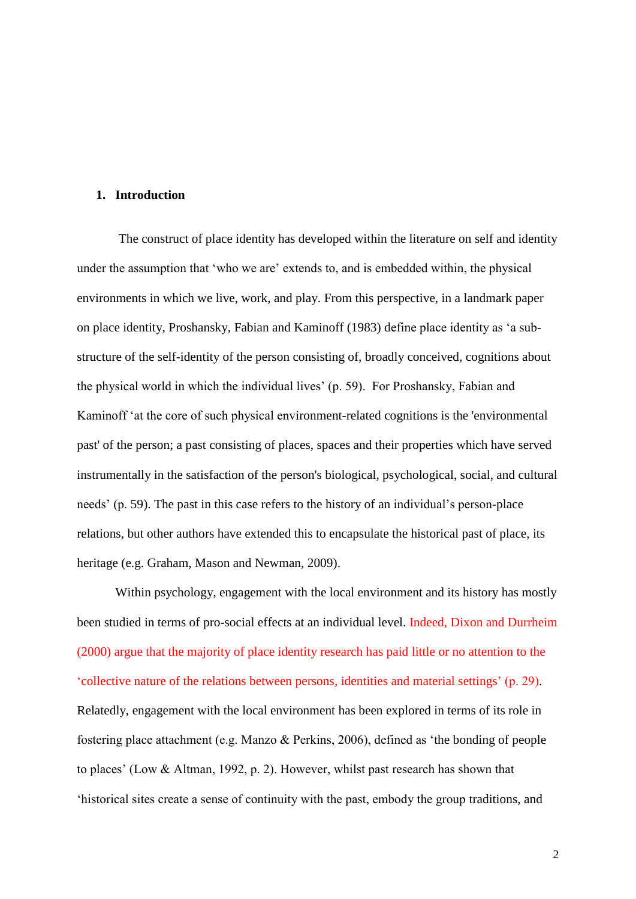# **1. Introduction**

The construct of place identity has developed within the literature on self and identity under the assumption that 'who we are' extends to, and is embedded within, the physical environments in which we live, work, and play. From this perspective, in a landmark paper on place identity, Proshansky, Fabian and Kaminoff (1983) define place identity as 'a substructure of the self-identity of the person consisting of, broadly conceived, cognitions about the physical world in which the individual lives' (p. 59). For Proshansky, Fabian and Kaminoff 'at the core of such physical environment-related cognitions is the 'environmental past' of the person; a past consisting of places, spaces and their properties which have served instrumentally in the satisfaction of the person's biological, psychological, social, and cultural needs' (p. 59). The past in this case refers to the history of an individual's person-place relations, but other authors have extended this to encapsulate the historical past of place, its heritage (e.g. Graham, Mason and Newman, 2009).

Within psychology, engagement with the local environment and its history has mostly been studied in terms of pro-social effects at an individual level. Indeed, Dixon and Durrheim (2000) argue that the majority of place identity research has paid little or no attention to the 'collective nature of the relations between persons, identities and material settings' (p. 29). Relatedly, engagement with the local environment has been explored in terms of its role in fostering place attachment (e.g. Manzo & Perkins, 2006), defined as 'the bonding of people to places' (Low & Altman, 1992, p. 2). However, whilst past research has shown that 'historical sites create a sense of continuity with the past, embody the group traditions, and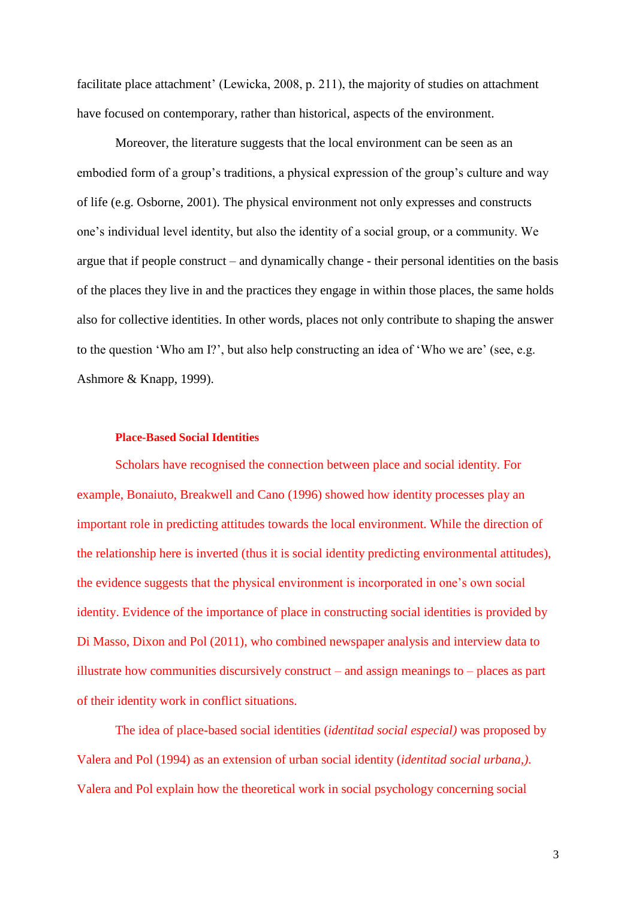facilitate place attachment' (Lewicka, 2008, p. 211), the majority of studies on attachment have focused on contemporary, rather than historical, aspects of the environment.

Moreover, the literature suggests that the local environment can be seen as an embodied form of a group's traditions, a physical expression of the group's culture and way of life (e.g. Osborne, 2001). The physical environment not only expresses and constructs one's individual level identity, but also the identity of a social group, or a community. We argue that if people construct – and dynamically change - their personal identities on the basis of the places they live in and the practices they engage in within those places, the same holds also for collective identities. In other words, places not only contribute to shaping the answer to the question 'Who am I?', but also help constructing an idea of 'Who we are' (see, e.g. Ashmore & Knapp, 1999).

# **Place-Based Social Identities**

Scholars have recognised the connection between place and social identity. For example, Bonaiuto, Breakwell and Cano (1996) showed how identity processes play an important role in predicting attitudes towards the local environment. While the direction of the relationship here is inverted (thus it is social identity predicting environmental attitudes), the evidence suggests that the physical environment is incorporated in one's own social identity. Evidence of the importance of place in constructing social identities is provided by Di Masso, Dixon and Pol (2011), who combined newspaper analysis and interview data to illustrate how communities discursively construct – and assign meanings to – places as part of their identity work in conflict situations.

The idea of place-based social identities (*identitad social especial)* was proposed by Valera and Pol (1994) as an extension of urban social identity (*identitad social urbana,)*. Valera and Pol explain how the theoretical work in social psychology concerning social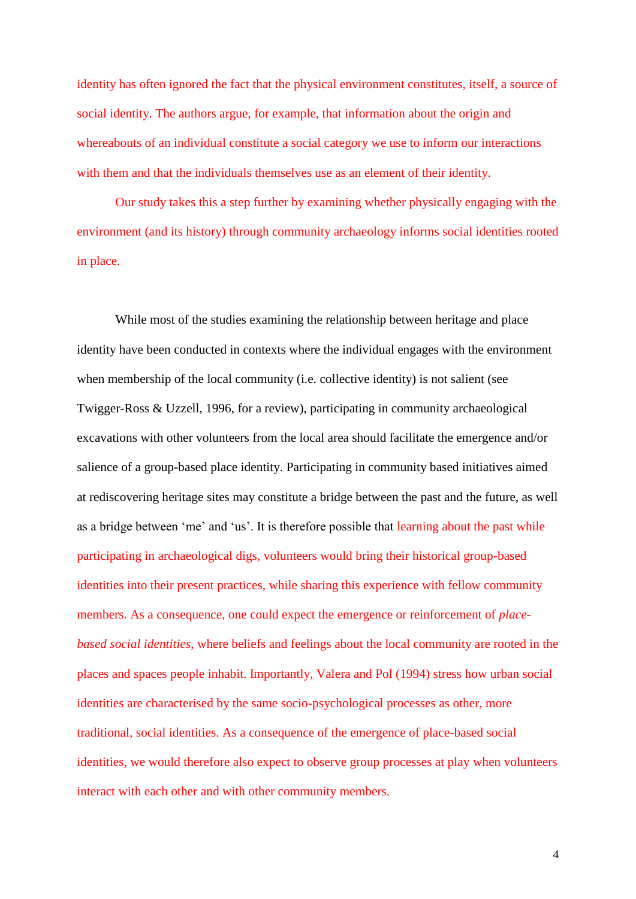identity has often ignored the fact that the physical environment constitutes, itself, a source of social identity. The authors argue, for example, that information about the origin and whereabouts of an individual constitute a social category we use to inform our interactions with them and that the individuals themselves use as an element of their identity.

Our study takes this a step further by examining whether physically engaging with the environment (and its history) through community archaeology informs social identities rooted in place.

While most of the studies examining the relationship between heritage and place identity have been conducted in contexts where the individual engages with the environment when membership of the local community (i.e. collective identity) is not salient (see Twigger-Ross & Uzzell, 1996, for a review), participating in community archaeological excavations with other volunteers from the local area should facilitate the emergence and/or salience of a group-based place identity. Participating in community based initiatives aimed at rediscovering heritage sites may constitute a bridge between the past and the future, as well as a bridge between 'me' and 'us'. It is therefore possible that learning about the past while participating in archaeological digs, volunteers would bring their historical group-based identities into their present practices, while sharing this experience with fellow community members. As a consequence, one could expect the emergence or reinforcement of *placebased social identities*, where beliefs and feelings about the local community are rooted in the places and spaces people inhabit. Importantly, Valera and Pol (1994) stress how urban social identities are characterised by the same socio-psychological processes as other, more traditional, social identities. As a consequence of the emergence of place-based social identities, we would therefore also expect to observe group processes at play when volunteers interact with each other and with other community members.

4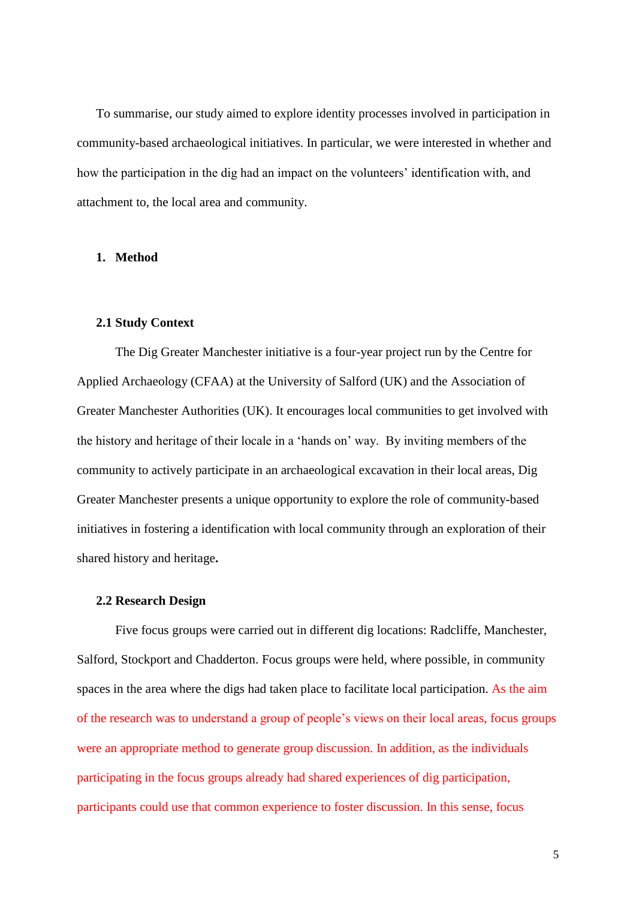To summarise, our study aimed to explore identity processes involved in participation in community-based archaeological initiatives. In particular, we were interested in whether and how the participation in the dig had an impact on the volunteers' identification with, and attachment to, the local area and community.

## **1. Method**

# **2.1 Study Context**

The Dig Greater Manchester initiative is a four-year project run by the Centre for Applied Archaeology (CFAA) at the University of Salford (UK) and the Association of Greater Manchester Authorities (UK). It encourages local communities to get involved with the history and heritage of their locale in a 'hands on' way. By inviting members of the community to actively participate in an archaeological excavation in their local areas, Dig Greater Manchester presents a unique opportunity to explore the role of community-based initiatives in fostering a identification with local community through an exploration of their shared history and heritage**.**

# **2.2 Research Design**

Five focus groups were carried out in different dig locations: Radcliffe, Manchester, Salford, Stockport and Chadderton. Focus groups were held, where possible, in community spaces in the area where the digs had taken place to facilitate local participation. As the aim of the research was to understand a group of people's views on their local areas, focus groups were an appropriate method to generate group discussion. In addition, as the individuals participating in the focus groups already had shared experiences of dig participation, participants could use that common experience to foster discussion. In this sense, focus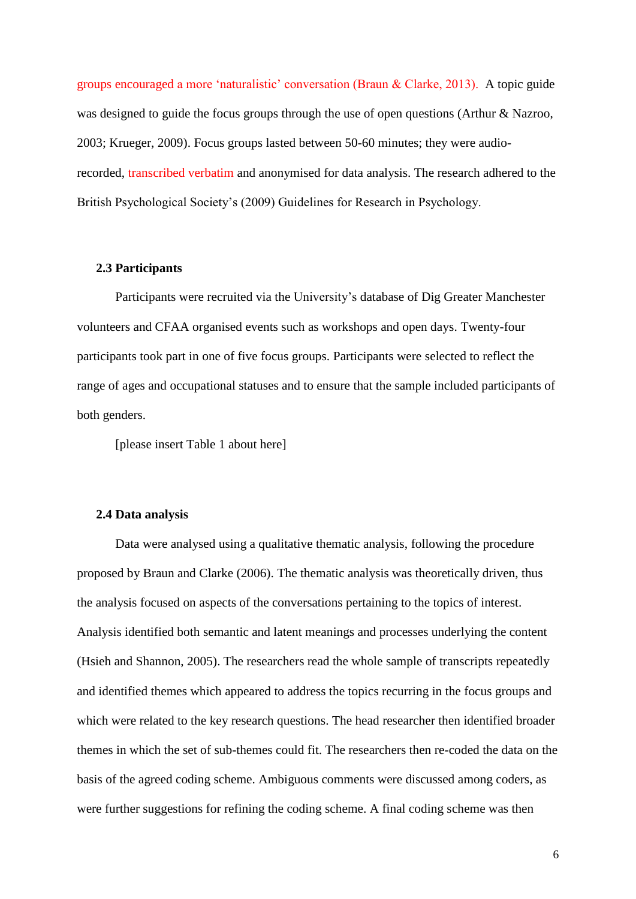groups encouraged a more 'naturalistic' conversation (Braun & Clarke, 2013). A topic guide was designed to guide the focus groups through the use of open questions (Arthur & Nazroo, 2003; Krueger, 2009). Focus groups lasted between 50-60 minutes; they were audiorecorded, transcribed verbatim and anonymised for data analysis. The research adhered to the British Psychological Society's (2009) Guidelines for Research in Psychology.

#### **2.3 Participants**

Participants were recruited via the University's database of Dig Greater Manchester volunteers and CFAA organised events such as workshops and open days. Twenty-four participants took part in one of five focus groups. Participants were selected to reflect the range of ages and occupational statuses and to ensure that the sample included participants of both genders.

[please insert Table 1 about here]

#### **2.4 Data analysis**

Data were analysed using a qualitative thematic analysis, following the procedure proposed by Braun and Clarke (2006). The thematic analysis was theoretically driven, thus the analysis focused on aspects of the conversations pertaining to the topics of interest. Analysis identified both semantic and latent meanings and processes underlying the content (Hsieh and Shannon, 2005). The researchers read the whole sample of transcripts repeatedly and identified themes which appeared to address the topics recurring in the focus groups and which were related to the key research questions. The head researcher then identified broader themes in which the set of sub-themes could fit. The researchers then re-coded the data on the basis of the agreed coding scheme. Ambiguous comments were discussed among coders, as were further suggestions for refining the coding scheme. A final coding scheme was then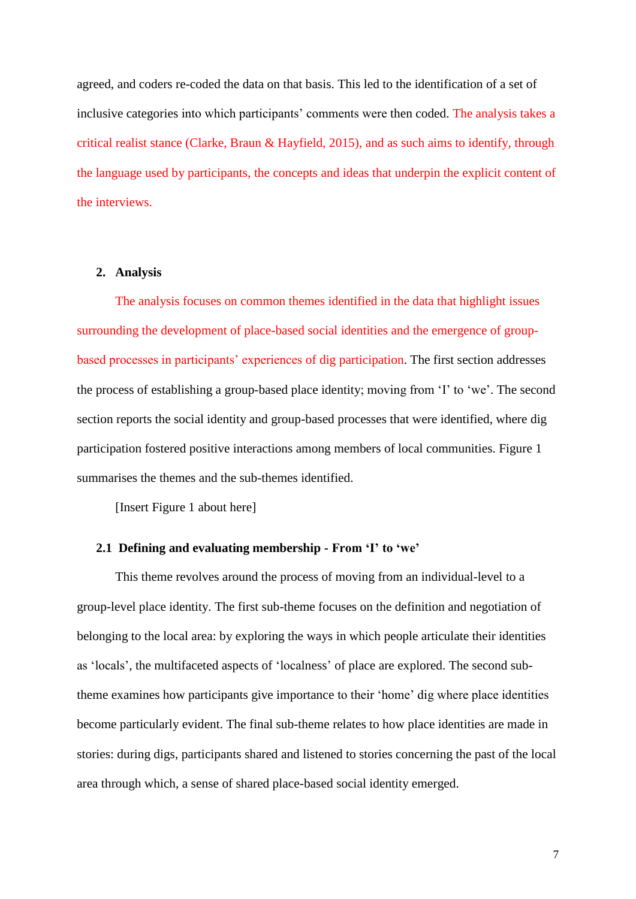agreed, and coders re-coded the data on that basis. This led to the identification of a set of inclusive categories into which participants' comments were then coded. The analysis takes a critical realist stance (Clarke, Braun & Hayfield, 2015), and as such aims to identify, through the language used by participants, the concepts and ideas that underpin the explicit content of the interviews.

## **2. Analysis**

The analysis focuses on common themes identified in the data that highlight issues surrounding the development of place-based social identities and the emergence of groupbased processes in participants' experiences of dig participation. The first section addresses the process of establishing a group-based place identity; moving from 'I' to 'we'. The second section reports the social identity and group-based processes that were identified, where dig participation fostered positive interactions among members of local communities. Figure 1 summarises the themes and the sub-themes identified.

[Insert Figure 1 about here]

#### **2.1 Defining and evaluating membership - From 'I' to 'we'**

This theme revolves around the process of moving from an individual-level to a group-level place identity. The first sub-theme focuses on the definition and negotiation of belonging to the local area: by exploring the ways in which people articulate their identities as 'locals', the multifaceted aspects of 'localness' of place are explored. The second subtheme examines how participants give importance to their 'home' dig where place identities become particularly evident. The final sub-theme relates to how place identities are made in stories: during digs, participants shared and listened to stories concerning the past of the local area through which, a sense of shared place-based social identity emerged.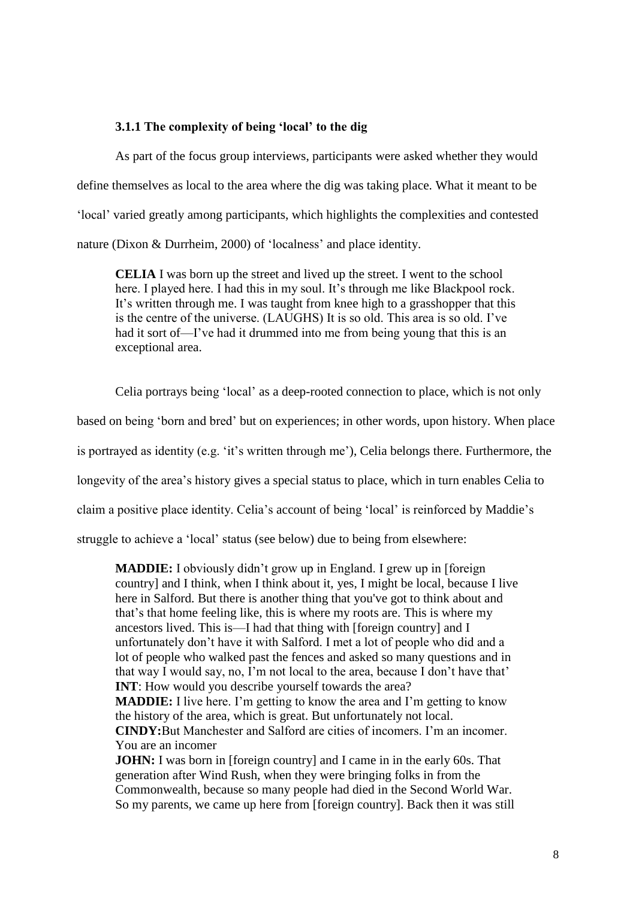# **3.1.1 The complexity of being 'local' to the dig**

As part of the focus group interviews, participants were asked whether they would define themselves as local to the area where the dig was taking place. What it meant to be 'local' varied greatly among participants, which highlights the complexities and contested nature (Dixon & Durrheim, 2000) of 'localness' and place identity.

**CELIA** I was born up the street and lived up the street. I went to the school here. I played here. I had this in my soul. It's through me like Blackpool rock. It's written through me. I was taught from knee high to a grasshopper that this is the centre of the universe. (LAUGHS) It is so old. This area is so old. I've had it sort of—I've had it drummed into me from being young that this is an exceptional area.

Celia portrays being 'local' as a deep-rooted connection to place, which is not only

based on being 'born and bred' but on experiences; in other words, upon history. When place

is portrayed as identity (e.g. 'it's written through me'), Celia belongs there. Furthermore, the

longevity of the area's history gives a special status to place, which in turn enables Celia to

claim a positive place identity. Celia's account of being 'local' is reinforced by Maddie's

struggle to achieve a 'local' status (see below) due to being from elsewhere:

**MADDIE:** I obviously didn't grow up in England. I grew up in [foreign country] and I think, when I think about it, yes, I might be local, because I live here in Salford. But there is another thing that you've got to think about and that's that home feeling like, this is where my roots are. This is where my ancestors lived. This is—I had that thing with [foreign country] and I unfortunately don't have it with Salford. I met a lot of people who did and a lot of people who walked past the fences and asked so many questions and in that way I would say, no, I'm not local to the area, because I don't have that' **INT**: How would you describe yourself towards the area? **MADDIE:** I live here. I'm getting to know the area and I'm getting to know the history of the area, which is great. But unfortunately not local. **CINDY:**But Manchester and Salford are cities of incomers. I'm an incomer. You are an incomer **JOHN:** I was born in [foreign country] and I came in in the early 60s. That

generation after Wind Rush, when they were bringing folks in from the Commonwealth, because so many people had died in the Second World War. So my parents, we came up here from [foreign country]. Back then it was still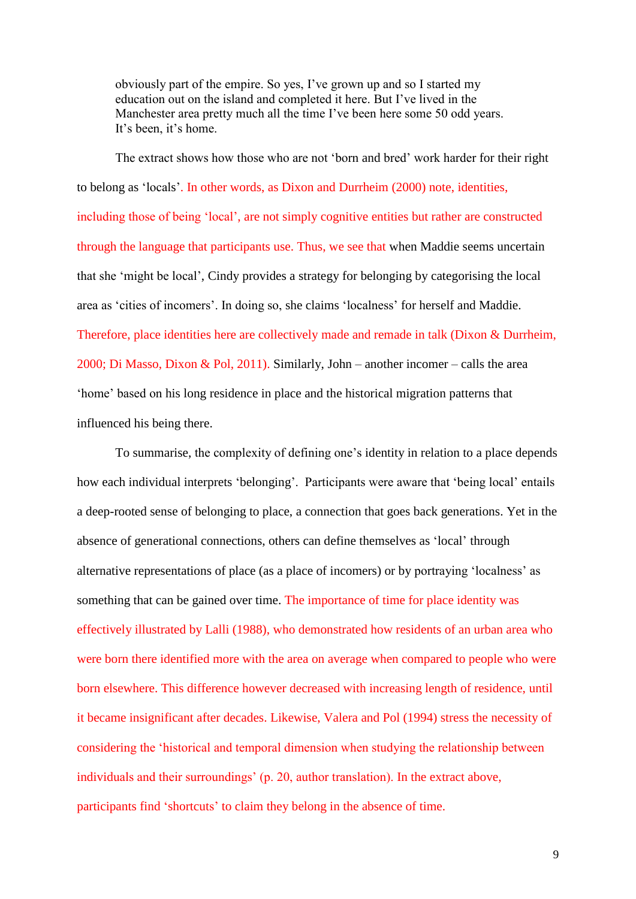obviously part of the empire. So yes, I've grown up and so I started my education out on the island and completed it here. But I've lived in the Manchester area pretty much all the time I've been here some 50 odd years. It's been, it's home.

The extract shows how those who are not 'born and bred' work harder for their right to belong as 'locals'. In other words, as Dixon and Durrheim (2000) note, identities, including those of being 'local', are not simply cognitive entities but rather are constructed through the language that participants use. Thus, we see that when Maddie seems uncertain that she 'might be local', Cindy provides a strategy for belonging by categorising the local area as 'cities of incomers'. In doing so, she claims 'localness' for herself and Maddie. Therefore, place identities here are collectively made and remade in talk (Dixon & Durrheim, 2000; Di Masso, Dixon & Pol, 2011). Similarly, John – another incomer – calls the area 'home' based on his long residence in place and the historical migration patterns that influenced his being there.

To summarise, the complexity of defining one's identity in relation to a place depends how each individual interprets 'belonging'. Participants were aware that 'being local' entails a deep-rooted sense of belonging to place, a connection that goes back generations. Yet in the absence of generational connections, others can define themselves as 'local' through alternative representations of place (as a place of incomers) or by portraying 'localness' as something that can be gained over time. The importance of time for place identity was effectively illustrated by Lalli (1988), who demonstrated how residents of an urban area who were born there identified more with the area on average when compared to people who were born elsewhere. This difference however decreased with increasing length of residence, until it became insignificant after decades. Likewise, Valera and Pol (1994) stress the necessity of considering the 'historical and temporal dimension when studying the relationship between individuals and their surroundings' (p. 20, author translation). In the extract above, participants find 'shortcuts' to claim they belong in the absence of time.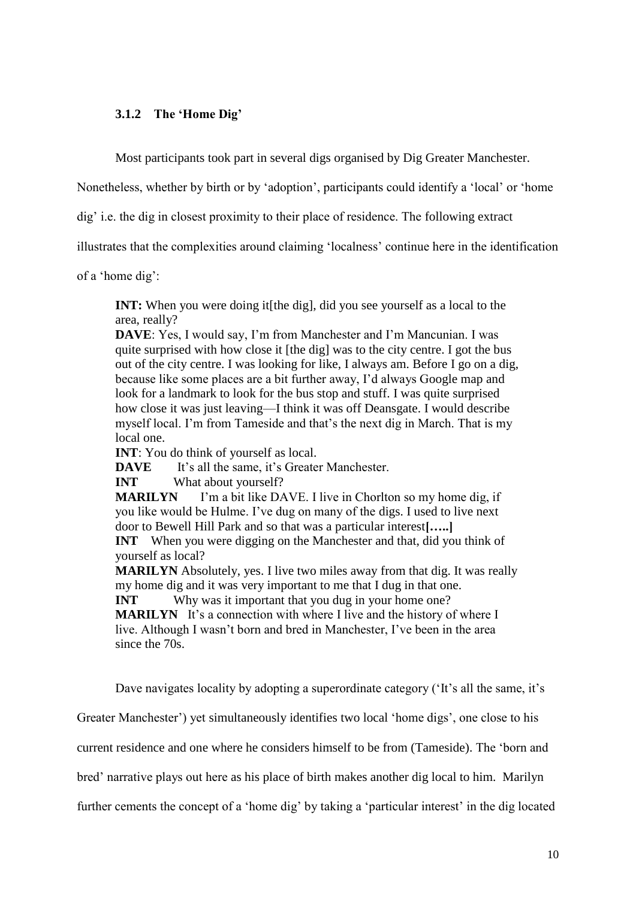# **3.1.2 The 'Home Dig'**

Most participants took part in several digs organised by Dig Greater Manchester.

Nonetheless, whether by birth or by 'adoption', participants could identify a 'local' or 'home

dig' i.e. the dig in closest proximity to their place of residence. The following extract

illustrates that the complexities around claiming 'localness' continue here in the identification

of a 'home dig':

**INT:** When you were doing it [the dig], did you see yourself as a local to the area, really?

**DAVE**: Yes, I would say, I'm from Manchester and I'm Mancunian. I was quite surprised with how close it [the dig] was to the city centre. I got the bus out of the city centre. I was looking for like, I always am. Before I go on a dig, because like some places are a bit further away, I'd always Google map and look for a landmark to look for the bus stop and stuff. I was quite surprised how close it was just leaving—I think it was off Deansgate. I would describe myself local. I'm from Tameside and that's the next dig in March. That is my local one.

**INT**: You do think of yourself as local.

**DAVE** It's all the same, it's Greater Manchester.

**INT** What about yourself?

**MARILYN** I'm a bit like DAVE. I live in Chorlton so my home dig, if you like would be Hulme. I've dug on many of the digs. I used to live next door to Bewell Hill Park and so that was a particular interest**[…..]**

**INT** When you were digging on the Manchester and that, did you think of yourself as local?

**MARILYN** Absolutely, yes. I live two miles away from that dig. It was really my home dig and it was very important to me that I dug in that one.

**INT** Why was it important that you dug in your home one?

**MARILYN** It's a connection with where I live and the history of where I live. Although I wasn't born and bred in Manchester, I've been in the area since the 70s.

Dave navigates locality by adopting a superordinate category ('It's all the same, it's

Greater Manchester') yet simultaneously identifies two local 'home digs', one close to his

current residence and one where he considers himself to be from (Tameside). The 'born and

bred' narrative plays out here as his place of birth makes another dig local to him. Marilyn

further cements the concept of a 'home dig' by taking a 'particular interest' in the dig located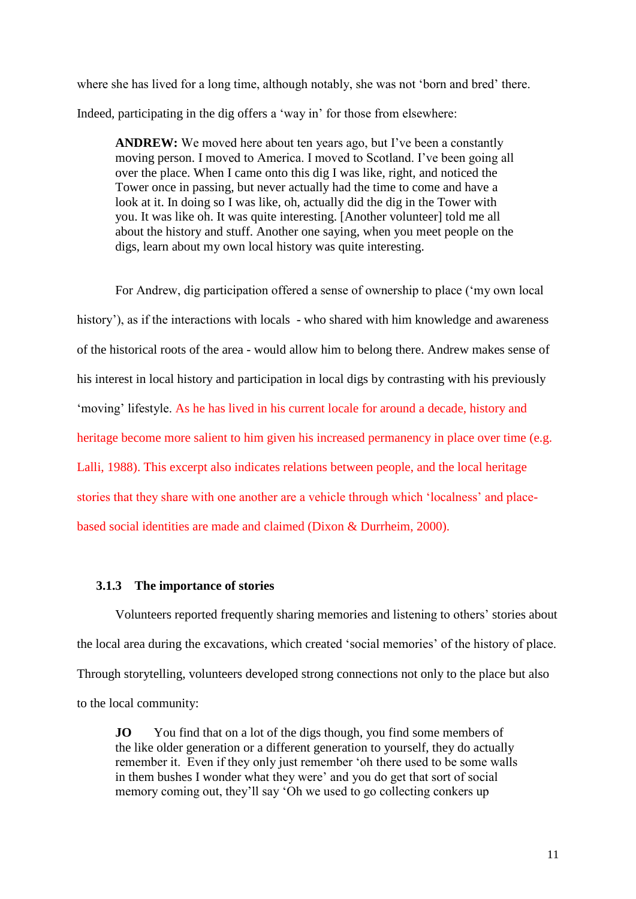where she has lived for a long time, although notably, she was not 'born and bred' there. Indeed, participating in the dig offers a 'way in' for those from elsewhere:

**ANDREW:** We moved here about ten years ago, but I've been a constantly moving person. I moved to America. I moved to Scotland. I've been going all over the place. When I came onto this dig I was like, right, and noticed the Tower once in passing, but never actually had the time to come and have a look at it. In doing so I was like, oh, actually did the dig in the Tower with you. It was like oh. It was quite interesting. [Another volunteer] told me all about the history and stuff. Another one saying, when you meet people on the digs, learn about my own local history was quite interesting.

For Andrew, dig participation offered a sense of ownership to place ('my own local history'), as if the interactions with locals - who shared with him knowledge and awareness of the historical roots of the area - would allow him to belong there. Andrew makes sense of his interest in local history and participation in local digs by contrasting with his previously 'moving' lifestyle. As he has lived in his current locale for around a decade, history and heritage become more salient to him given his increased permanency in place over time (e.g. Lalli, 1988). This excerpt also indicates relations between people, and the local heritage stories that they share with one another are a vehicle through which 'localness' and placebased social identities are made and claimed (Dixon & Durrheim, 2000).

# **3.1.3 The importance of stories**

Volunteers reported frequently sharing memories and listening to others' stories about the local area during the excavations, which created 'social memories' of the history of place. Through storytelling, volunteers developed strong connections not only to the place but also to the local community:

**JO** You find that on a lot of the digs though, you find some members of the like older generation or a different generation to yourself, they do actually remember it. Even if they only just remember 'oh there used to be some walls in them bushes I wonder what they were' and you do get that sort of social memory coming out, they'll say 'Oh we used to go collecting conkers up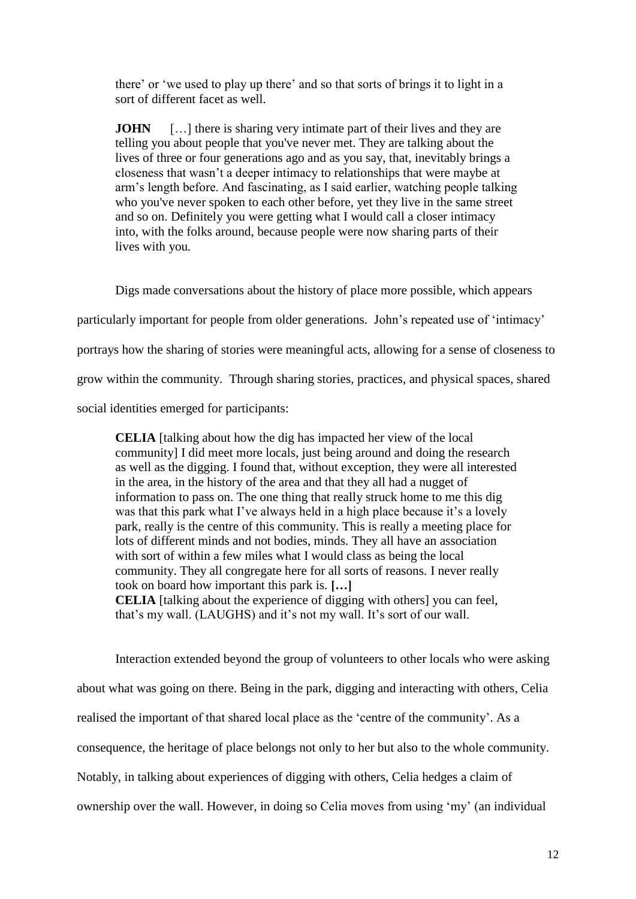there' or 'we used to play up there' and so that sorts of brings it to light in a sort of different facet as well.

**JOHN** [...] there is sharing very intimate part of their lives and they are telling you about people that you've never met. They are talking about the lives of three or four generations ago and as you say, that, inevitably brings a closeness that wasn't a deeper intimacy to relationships that were maybe at arm's length before. And fascinating, as I said earlier, watching people talking who you've never spoken to each other before, yet they live in the same street and so on. Definitely you were getting what I would call a closer intimacy into, with the folks around, because people were now sharing parts of their lives with you*.* 

Digs made conversations about the history of place more possible, which appears

particularly important for people from older generations. John's repeated use of 'intimacy'

portrays how the sharing of stories were meaningful acts, allowing for a sense of closeness to

grow within the community. Through sharing stories, practices, and physical spaces, shared

social identities emerged for participants:

**CELIA** [talking about how the dig has impacted her view of the local community] I did meet more locals, just being around and doing the research as well as the digging. I found that, without exception, they were all interested in the area, in the history of the area and that they all had a nugget of information to pass on. The one thing that really struck home to me this dig was that this park what I've always held in a high place because it's a lovely park, really is the centre of this community. This is really a meeting place for lots of different minds and not bodies, minds. They all have an association with sort of within a few miles what I would class as being the local community. They all congregate here for all sorts of reasons. I never really took on board how important this park is. **[…] CELIA** [talking about the experience of digging with others] you can feel, that's my wall. (LAUGHS) and it's not my wall. It's sort of our wall.

Interaction extended beyond the group of volunteers to other locals who were asking about what was going on there. Being in the park, digging and interacting with others, Celia realised the important of that shared local place as the 'centre of the community'. As a consequence, the heritage of place belongs not only to her but also to the whole community. Notably, in talking about experiences of digging with others, Celia hedges a claim of ownership over the wall. However, in doing so Celia moves from using 'my' (an individual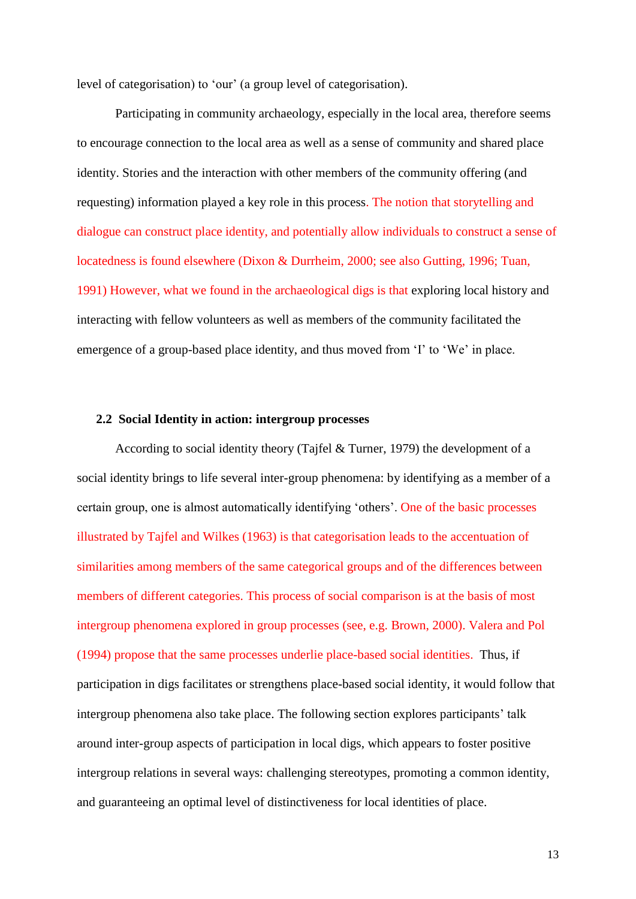level of categorisation) to 'our' (a group level of categorisation).

Participating in community archaeology, especially in the local area, therefore seems to encourage connection to the local area as well as a sense of community and shared place identity. Stories and the interaction with other members of the community offering (and requesting) information played a key role in this process. The notion that storytelling and dialogue can construct place identity, and potentially allow individuals to construct a sense of locatedness is found elsewhere (Dixon & Durrheim, 2000; see also Gutting, 1996; Tuan, 1991) However, what we found in the archaeological digs is that exploring local history and interacting with fellow volunteers as well as members of the community facilitated the emergence of a group-based place identity, and thus moved from 'I' to 'We' in place.

## **2.2 Social Identity in action: intergroup processes**

According to social identity theory (Tajfel & Turner, 1979) the development of a social identity brings to life several inter-group phenomena: by identifying as a member of a certain group, one is almost automatically identifying 'others'. One of the basic processes illustrated by Tajfel and Wilkes (1963) is that categorisation leads to the accentuation of similarities among members of the same categorical groups and of the differences between members of different categories. This process of social comparison is at the basis of most intergroup phenomena explored in group processes (see, e.g. Brown, 2000). Valera and Pol (1994) propose that the same processes underlie place-based social identities. Thus, if participation in digs facilitates or strengthens place-based social identity, it would follow that intergroup phenomena also take place. The following section explores participants' talk around inter-group aspects of participation in local digs, which appears to foster positive intergroup relations in several ways: challenging stereotypes, promoting a common identity, and guaranteeing an optimal level of distinctiveness for local identities of place.

13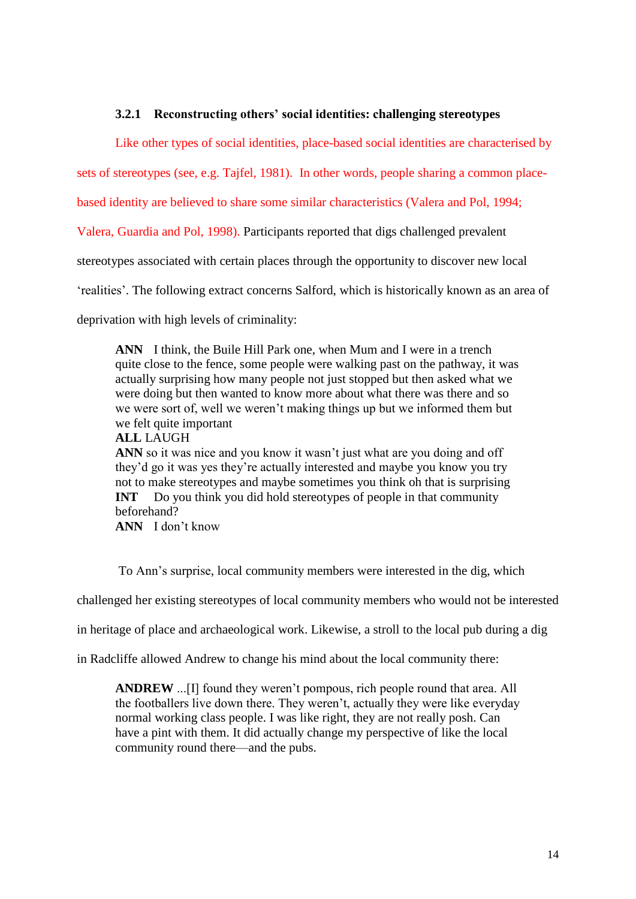# **3.2.1 Reconstructing others' social identities: challenging stereotypes**

Like other types of social identities, place-based social identities are characterised by

sets of stereotypes (see, e.g. Tajfel, 1981). In other words, people sharing a common place-

based identity are believed to share some similar characteristics (Valera and Pol, 1994;

Valera, Guardia and Pol, 1998). Participants reported that digs challenged prevalent

stereotypes associated with certain places through the opportunity to discover new local

'realities'. The following extract concerns Salford, which is historically known as an area of

deprivation with high levels of criminality:

**ANN** I think, the Buile Hill Park one, when Mum and I were in a trench quite close to the fence, some people were walking past on the pathway, it was actually surprising how many people not just stopped but then asked what we were doing but then wanted to know more about what there was there and so we were sort of, well we weren't making things up but we informed them but we felt quite important

**ALL** LAUGH

ANN so it was nice and you know it wasn't just what are you doing and off they'd go it was yes they're actually interested and maybe you know you try not to make stereotypes and maybe sometimes you think oh that is surprising **INT** Do you think you did hold stereotypes of people in that community beforehand?

**ANN** I don't know

To Ann's surprise, local community members were interested in the dig, which

challenged her existing stereotypes of local community members who would not be interested

in heritage of place and archaeological work. Likewise, a stroll to the local pub during a dig

in Radcliffe allowed Andrew to change his mind about the local community there:

**ANDREW** ...[I] found they weren't pompous, rich people round that area. All the footballers live down there. They weren't, actually they were like everyday normal working class people. I was like right, they are not really posh. Can have a pint with them. It did actually change my perspective of like the local community round there—and the pubs.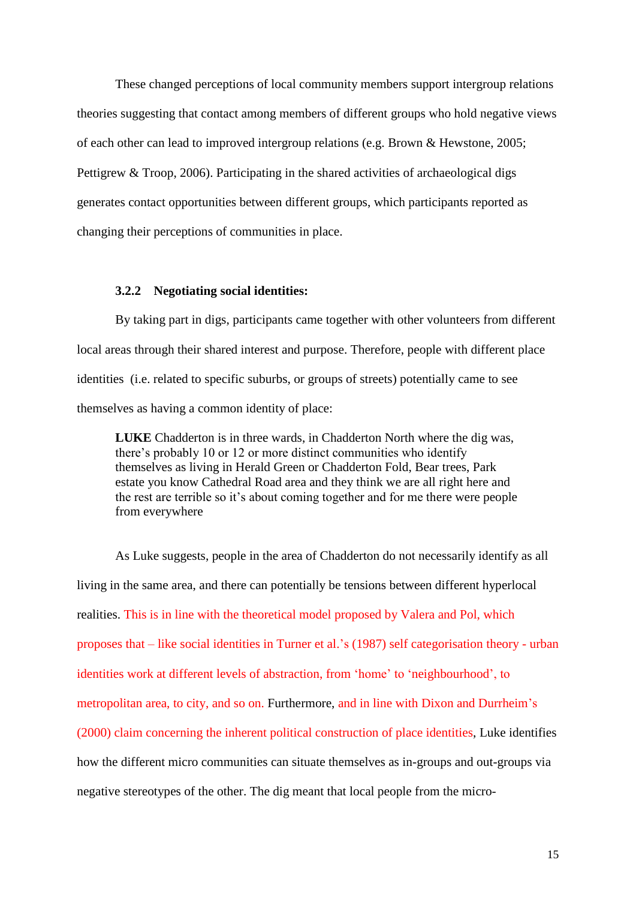These changed perceptions of local community members support intergroup relations theories suggesting that contact among members of different groups who hold negative views of each other can lead to improved intergroup relations (e.g. Brown & Hewstone, 2005; Pettigrew & Troop, 2006). Participating in the shared activities of archaeological digs generates contact opportunities between different groups, which participants reported as changing their perceptions of communities in place.

#### **3.2.2 Negotiating social identities:**

By taking part in digs, participants came together with other volunteers from different local areas through their shared interest and purpose. Therefore, people with different place identities (i.e. related to specific suburbs, or groups of streets) potentially came to see themselves as having a common identity of place:

**LUKE** Chadderton is in three wards, in Chadderton North where the dig was, there's probably 10 or 12 or more distinct communities who identify themselves as living in Herald Green or Chadderton Fold, Bear trees, Park estate you know Cathedral Road area and they think we are all right here and the rest are terrible so it's about coming together and for me there were people from everywhere

As Luke suggests, people in the area of Chadderton do not necessarily identify as all living in the same area, and there can potentially be tensions between different hyperlocal realities. This is in line with the theoretical model proposed by Valera and Pol, which proposes that – like social identities in Turner et al.'s (1987) self categorisation theory - urban identities work at different levels of abstraction, from 'home' to 'neighbourhood', to metropolitan area, to city, and so on. Furthermore, and in line with Dixon and Durrheim's (2000) claim concerning the inherent political construction of place identities, Luke identifies how the different micro communities can situate themselves as in-groups and out-groups via negative stereotypes of the other. The dig meant that local people from the micro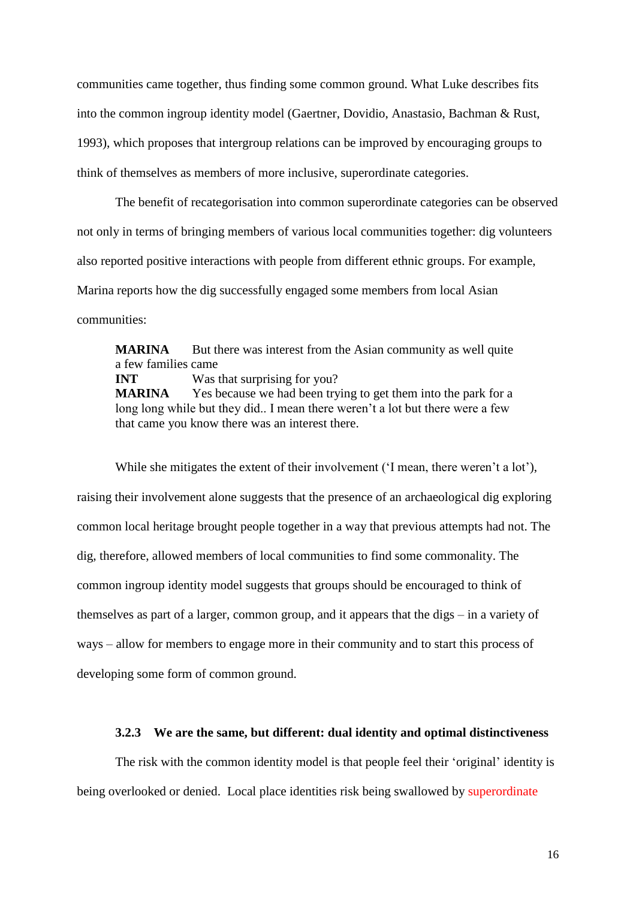communities came together, thus finding some common ground. What Luke describes fits into the common ingroup identity model (Gaertner, Dovidio, Anastasio, Bachman & Rust, 1993), which proposes that intergroup relations can be improved by encouraging groups to think of themselves as members of more inclusive, superordinate categories.

The benefit of recategorisation into common superordinate categories can be observed not only in terms of bringing members of various local communities together: dig volunteers also reported positive interactions with people from different ethnic groups. For example, Marina reports how the dig successfully engaged some members from local Asian communities:

**MARINA** But there was interest from the Asian community as well quite a few families came **INT** Was that surprising for you? **MARINA** Yes because we had been trying to get them into the park for a long long while but they did.. I mean there weren't a lot but there were a few that came you know there was an interest there.

While she mitigates the extent of their involvement ('I mean, there weren't a lot'), raising their involvement alone suggests that the presence of an archaeological dig exploring common local heritage brought people together in a way that previous attempts had not. The dig, therefore, allowed members of local communities to find some commonality. The common ingroup identity model suggests that groups should be encouraged to think of themselves as part of a larger, common group, and it appears that the digs – in a variety of ways – allow for members to engage more in their community and to start this process of developing some form of common ground.

# **3.2.3 We are the same, but different: dual identity and optimal distinctiveness**

The risk with the common identity model is that people feel their 'original' identity is being overlooked or denied. Local place identities risk being swallowed by superordinate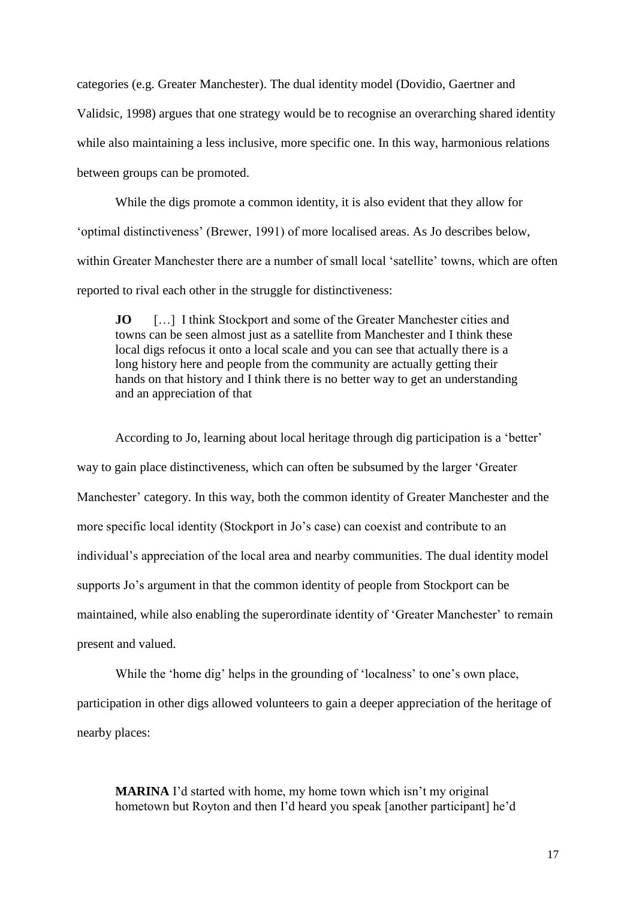categories (e.g. Greater Manchester). The dual identity model (Dovidio, Gaertner and Validsic, 1998) argues that one strategy would be to recognise an overarching shared identity while also maintaining a less inclusive, more specific one. In this way, harmonious relations between groups can be promoted.

While the digs promote a common identity, it is also evident that they allow for 'optimal distinctiveness' (Brewer, 1991) of more localised areas. As Jo describes below, within Greater Manchester there are a number of small local 'satellite' towns, which are often reported to rival each other in the struggle for distinctiveness:

**JO** [...] I think Stockport and some of the Greater Manchester cities and towns can be seen almost just as a satellite from Manchester and I think these local digs refocus it onto a local scale and you can see that actually there is a long history here and people from the community are actually getting their hands on that history and I think there is no better way to get an understanding and an appreciation of that

According to Jo, learning about local heritage through dig participation is a 'better' way to gain place distinctiveness, which can often be subsumed by the larger 'Greater Manchester' category. In this way, both the common identity of Greater Manchester and the more specific local identity (Stockport in Jo's case) can coexist and contribute to an individual's appreciation of the local area and nearby communities. The dual identity model supports Jo's argument in that the common identity of people from Stockport can be maintained, while also enabling the superordinate identity of 'Greater Manchester' to remain present and valued.

While the 'home dig' helps in the grounding of 'localness' to one's own place, participation in other digs allowed volunteers to gain a deeper appreciation of the heritage of nearby places:

**MARINA** I'd started with home, my home town which isn't my original hometown but Royton and then I'd heard you speak [another participant] he'd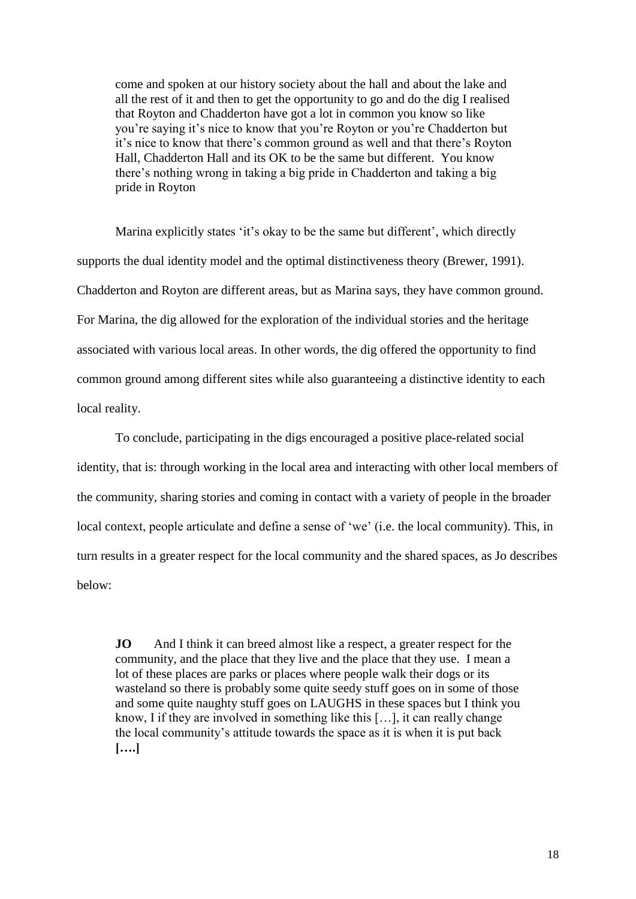come and spoken at our history society about the hall and about the lake and all the rest of it and then to get the opportunity to go and do the dig I realised that Royton and Chadderton have got a lot in common you know so like you're saying it's nice to know that you're Royton or you're Chadderton but it's nice to know that there's common ground as well and that there's Royton Hall, Chadderton Hall and its OK to be the same but different. You know there's nothing wrong in taking a big pride in Chadderton and taking a big pride in Royton

Marina explicitly states 'it's okay to be the same but different', which directly supports the dual identity model and the optimal distinctiveness theory (Brewer, 1991). Chadderton and Royton are different areas, but as Marina says, they have common ground. For Marina, the dig allowed for the exploration of the individual stories and the heritage associated with various local areas. In other words, the dig offered the opportunity to find common ground among different sites while also guaranteeing a distinctive identity to each local reality.

To conclude, participating in the digs encouraged a positive place-related social identity, that is: through working in the local area and interacting with other local members of the community, sharing stories and coming in contact with a variety of people in the broader local context, people articulate and define a sense of 'we' (i.e. the local community). This, in turn results in a greater respect for the local community and the shared spaces, as Jo describes below:

**JO** And I think it can breed almost like a respect, a greater respect for the community, and the place that they live and the place that they use. I mean a lot of these places are parks or places where people walk their dogs or its wasteland so there is probably some quite seedy stuff goes on in some of those and some quite naughty stuff goes on LAUGHS in these spaces but I think you know, I if they are involved in something like this […], it can really change the local community's attitude towards the space as it is when it is put back **[….]**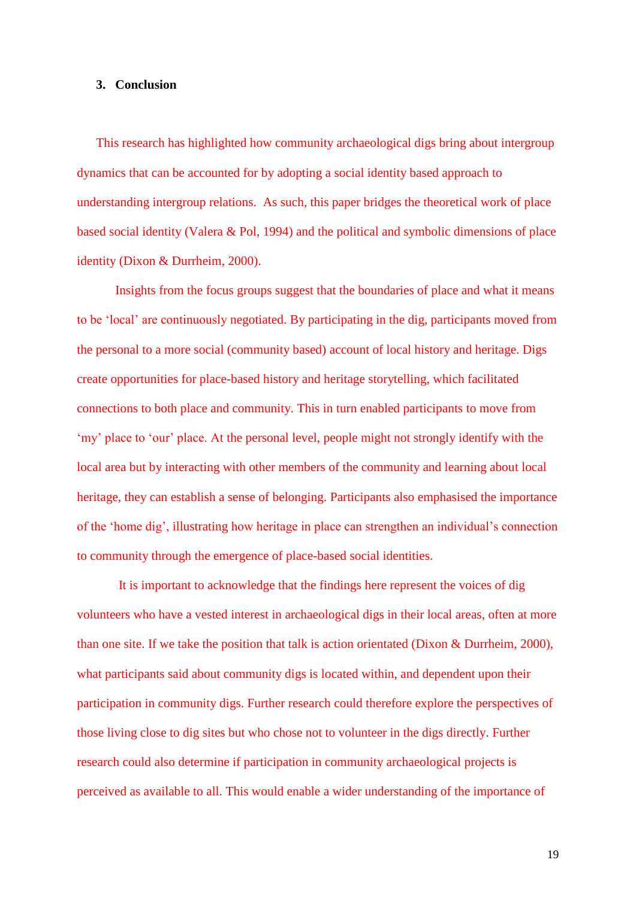#### **3. Conclusion**

This research has highlighted how community archaeological digs bring about intergroup dynamics that can be accounted for by adopting a social identity based approach to understanding intergroup relations. As such, this paper bridges the theoretical work of place based social identity (Valera & Pol, 1994) and the political and symbolic dimensions of place identity (Dixon & Durrheim, 2000).

Insights from the focus groups suggest that the boundaries of place and what it means to be 'local' are continuously negotiated. By participating in the dig, participants moved from the personal to a more social (community based) account of local history and heritage. Digs create opportunities for place-based history and heritage storytelling, which facilitated connections to both place and community. This in turn enabled participants to move from 'my' place to 'our' place. At the personal level, people might not strongly identify with the local area but by interacting with other members of the community and learning about local heritage, they can establish a sense of belonging. Participants also emphasised the importance of the 'home dig', illustrating how heritage in place can strengthen an individual's connection to community through the emergence of place-based social identities.

It is important to acknowledge that the findings here represent the voices of dig volunteers who have a vested interest in archaeological digs in their local areas, often at more than one site. If we take the position that talk is action orientated (Dixon & Durrheim, 2000), what participants said about community digs is located within, and dependent upon their participation in community digs. Further research could therefore explore the perspectives of those living close to dig sites but who chose not to volunteer in the digs directly. Further research could also determine if participation in community archaeological projects is perceived as available to all. This would enable a wider understanding of the importance of

19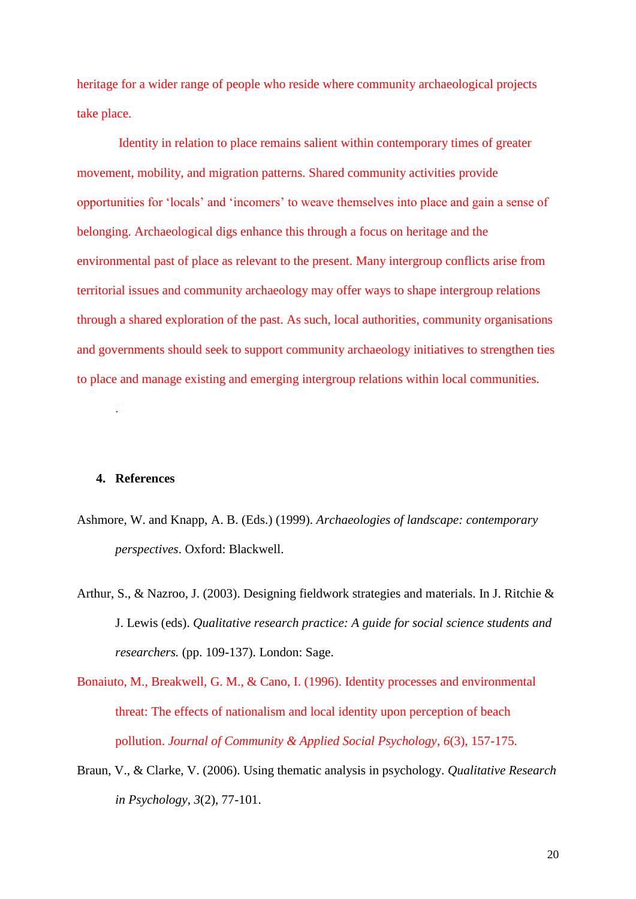heritage for a wider range of people who reside where community archaeological projects take place.

Identity in relation to place remains salient within contemporary times of greater movement, mobility, and migration patterns. Shared community activities provide opportunities for 'locals' and 'incomers' to weave themselves into place and gain a sense of belonging. Archaeological digs enhance this through a focus on heritage and the environmental past of place as relevant to the present. Many intergroup conflicts arise from territorial issues and community archaeology may offer ways to shape intergroup relations through a shared exploration of the past. As such, local authorities, community organisations and governments should seek to support community archaeology initiatives to strengthen ties to place and manage existing and emerging intergroup relations within local communities.

# **4. References**

.

- Ashmore, W. and Knapp, A. B. (Eds.) (1999). *Archaeologies of landscape: contemporary perspectives*. Oxford: Blackwell.
- Arthur, S., & Nazroo, J. (2003). Designing fieldwork strategies and materials. In J. Ritchie & J. Lewis (eds). *Qualitative research practice: A guide for social science students and researchers.* (pp. 109-137). London: Sage.
- Bonaiuto, M., Breakwell, G. M., & Cano, I. (1996). Identity processes and environmental threat: The effects of nationalism and local identity upon perception of beach pollution. *Journal of Community & Applied Social Psychology*, *6*(3), 157-175.
- Braun, V., & Clarke, V. (2006). Using thematic analysis in psychology. *Qualitative Research in Psychology*, *3*(2), 77-101.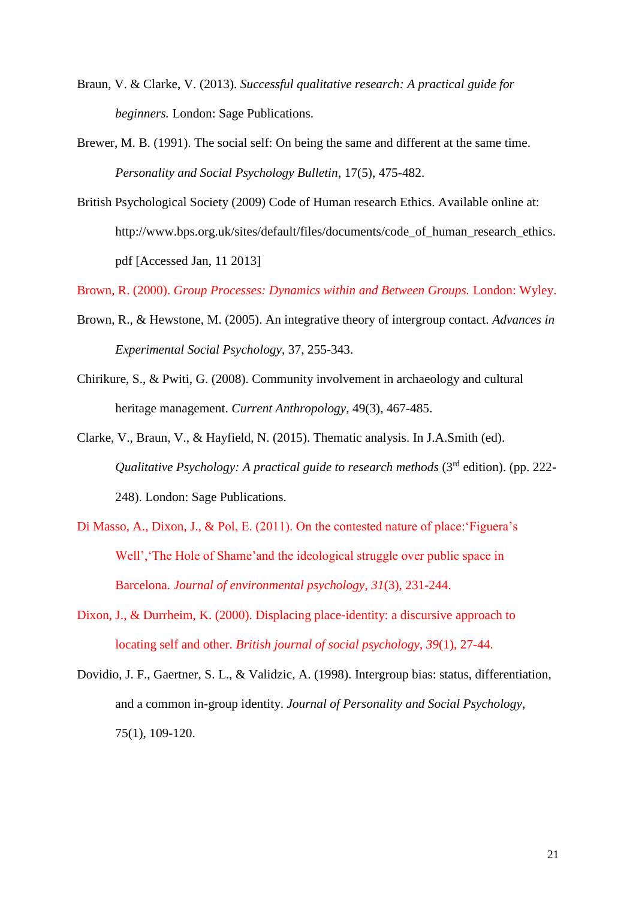- Braun, V. & Clarke, V. (2013). *Successful qualitative research: A practical guide for beginners.* London: Sage Publications.
- Brewer, M. B. (1991). The social self: On being the same and different at the same time. *Personality and Social Psychology Bulletin*, 17(5), 475-482.
- British Psychological Society (2009) Code of Human research Ethics. Available online at: http://www.bps.org.uk/sites/default/files/documents/code\_of\_human\_research\_ethics. pdf [Accessed Jan, 11 2013]

Brown, R. (2000). *Group Processes: Dynamics within and Between Groups.* London: Wyley.

- Brown, R., & Hewstone, M. (2005). An integrative theory of intergroup contact. *Advances in Experimental Social Psychology*, 37, 255-343.
- Chirikure, S., & Pwiti, G. (2008). Community involvement in archaeology and cultural heritage management. *Current Anthropology*, 49(3), 467-485.
- Clarke, V., Braun, V., & Hayfield, N. (2015). Thematic analysis. In J.A.Smith (ed). *Qualitative Psychology: A practical guide to research methods* (3<sup>rd</sup> edition). (pp. 222-248). London: Sage Publications.
- Di Masso, A., Dixon, J., & Pol, E. (2011). On the contested nature of place:'Figuera's Well', 'The Hole of Shame'and the ideological struggle over public space in Barcelona. *Journal of environmental psychology*, *31*(3), 231-244.
- Dixon, J., & Durrheim, K. (2000). Displacing place-identity: a discursive approach to locating self and other. *British journal of social psychology*, *39*(1), 27-44.
- Dovidio, J. F., Gaertner, S. L., & Validzic, A. (1998). Intergroup bias: status, differentiation, and a common in-group identity. *Journal of Personality and Social Psychology*, 75(1), 109-120.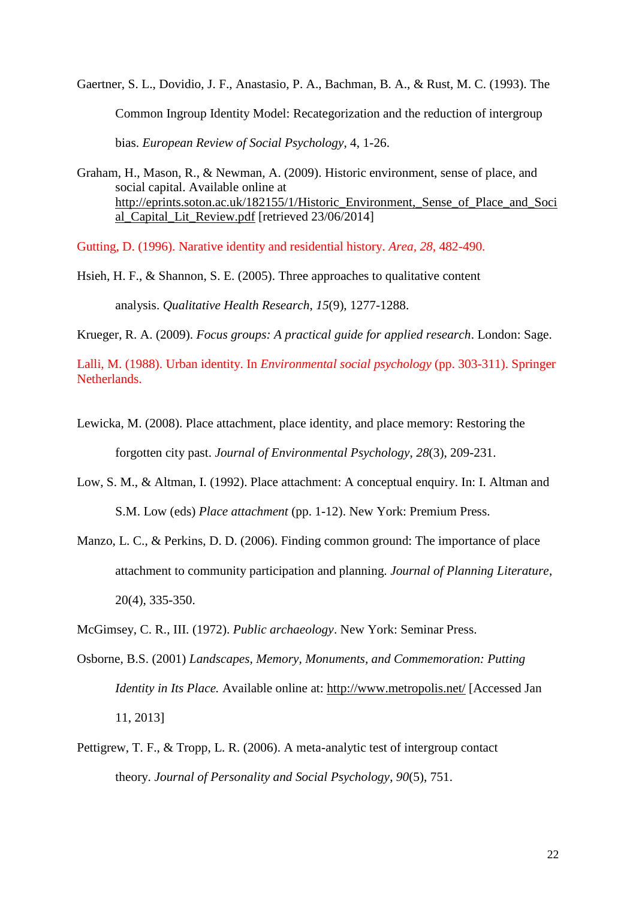Gaertner, S. L., Dovidio, J. F., Anastasio, P. A., Bachman, B. A., & Rust, M. C. (1993). The Common Ingroup Identity Model: Recategorization and the reduction of intergroup bias. *European Review of Social Psychology*, 4, 1-26.

Graham, H., Mason, R., & Newman, A. (2009). Historic environment, sense of place, and social capital. Available online at [http://eprints.soton.ac.uk/182155/1/Historic\\_Environment,\\_Sense\\_of\\_Place\\_and\\_Soci](http://eprints.soton.ac.uk/182155/1/Historic_Environment,_Sense_of_Place_and_Social_Capital_Lit_Review.pdf) [al\\_Capital\\_Lit\\_Review.pdf](http://eprints.soton.ac.uk/182155/1/Historic_Environment,_Sense_of_Place_and_Social_Capital_Lit_Review.pdf) [retrieved 23/06/2014]

Gutting, D. (1996). Narative identity and residential history. *Area, 28,* 482-490.

Hsieh, H. F., & Shannon, S. E. (2005). Three approaches to qualitative content

analysis. *Qualitative Health Research*, *15*(9), 1277-1288.

Krueger, R. A. (2009). *Focus groups: A practical guide for applied research*. London: Sage.

Lalli, M. (1988). Urban identity. In *Environmental social psychology* (pp. 303-311). Springer Netherlands.

- Lewicka, M. (2008). Place attachment, place identity, and place memory: Restoring the forgotten city past. *Journal of Environmental Psychology*, *28*(3), 209-231.
- Low, S. M., & Altman, I. (1992). Place attachment: A conceptual enquiry. In: I. Altman and S.M. Low (eds) *Place attachment* (pp. 1-12). New York: Premium Press.
- Manzo, L. C., & Perkins, D. D. (2006). Finding common ground: The importance of place attachment to community participation and planning. *Journal of Planning Literature*, 20(4), 335-350.

McGimsey, C. R., III. (1972). *Public archaeology*. New York: Seminar Press.

- Osborne, B.S. (2001) *Landscapes, Memory, Monuments, and Commemoration: Putting Identity in Its Place.* Available online at:<http://www.metropolis.net/> [Accessed Jan 11, 2013]
- Pettigrew, T. F., & Tropp, L. R. (2006). A meta-analytic test of intergroup contact theory. *Journal of Personality and Social Psychology*, *90*(5), 751.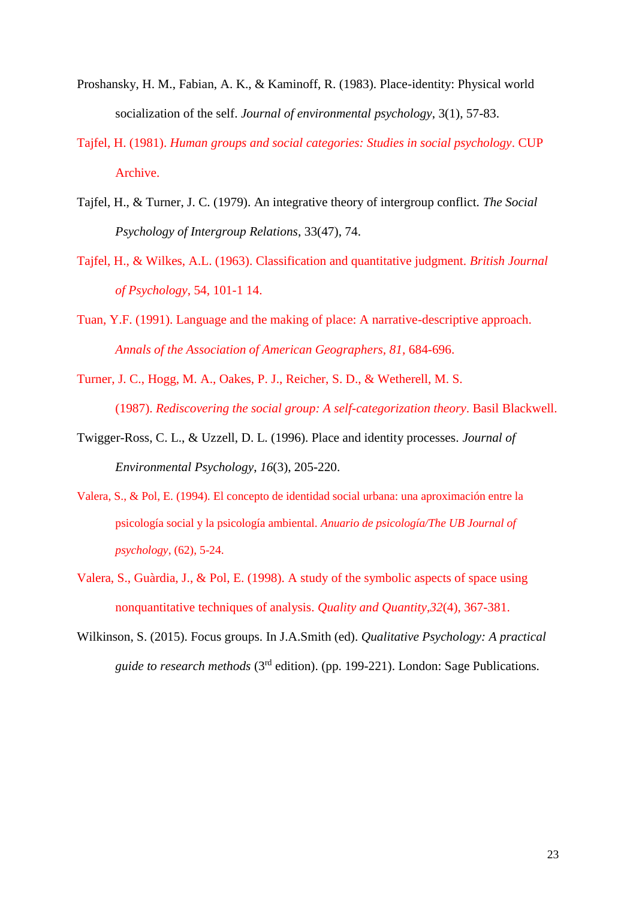- Proshansky, H. M., Fabian, A. K., & Kaminoff, R. (1983). Place-identity: Physical world socialization of the self. *Journal of environmental psychology*, 3(1), 57-83.
- Tajfel, H. (1981). *Human groups and social categories: Studies in social psychology*. CUP Archive.
- Tajfel, H., & Turner, J. C. (1979). An integrative theory of intergroup conflict*. The Social Psychology of Intergroup Relations*, 33(47), 74.
- Tajfel, H., & Wilkes, A.L. (1963). Classification and quantitative judgment. *British Journal of Psychology*, 54, 101-1 14.
- Tuan, Y.F. (1991). Language and the making of place: A narrative-descriptive approach. *Annals of the Association of American Geographers, 81,* 684-696.
- Turner, J. C., Hogg, M. A., Oakes, P. J., Reicher, S. D., & Wetherell, M. S. (1987). *Rediscovering the social group: A self-categorization theory*. Basil Blackwell.
- Twigger-Ross, C. L., & Uzzell, D. L. (1996). Place and identity processes. *Journal of Environmental Psychology*, *16*(3), 205-220.
- Valera, S., & Pol, E. (1994). El concepto de identidad social urbana: una aproximación entre la psicología social y la psicología ambiental. *Anuario de psicología/The UB Journal of psychology*, (62), 5-24.
- Valera, S., Guàrdia, J., & Pol, E. (1998). A study of the symbolic aspects of space using nonquantitative techniques of analysis. *Quality and Quantity*,*32*(4), 367-381.
- Wilkinson, S. (2015). Focus groups. In J.A.Smith (ed). *Qualitative Psychology: A practical guide to research methods* (3rd edition). (pp. 199-221). London: Sage Publications.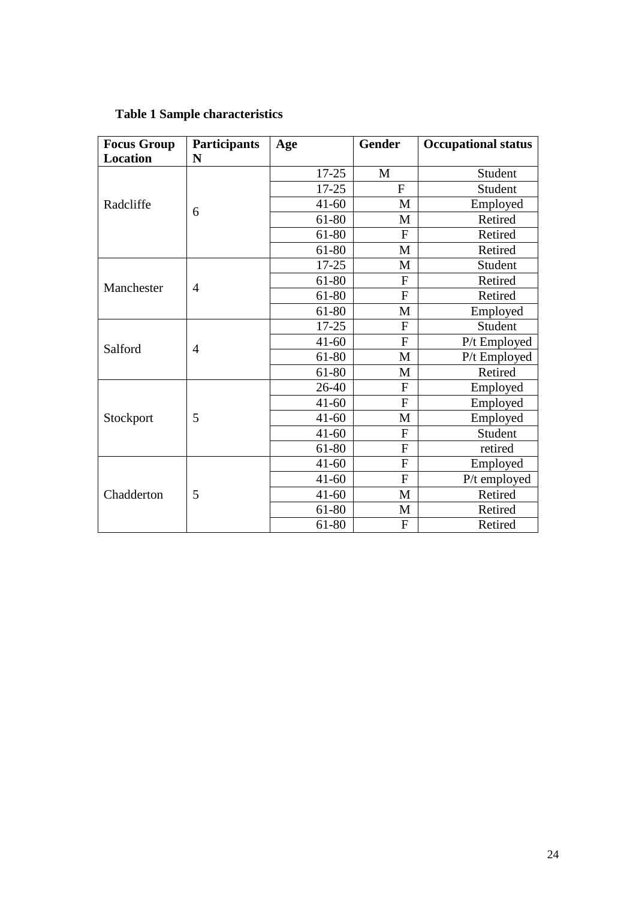# **Table 1 Sample characteristics**

| <b>Focus Group</b> | <b>Participants</b> | Age       | <b>Gender</b>    | <b>Occupational status</b> |
|--------------------|---------------------|-----------|------------------|----------------------------|
| <b>Location</b>    | N                   |           |                  |                            |
| Radcliffe          | 6                   | $17 - 25$ | M                | Student                    |
|                    |                     | $17 - 25$ | $\overline{F}$   | Student                    |
|                    |                     | $41 - 60$ | M                | Employed                   |
|                    |                     | 61-80     | $\mathbf M$      | Retired                    |
|                    |                     | 61-80     | $\overline{F}$   | Retired                    |
|                    |                     | 61-80     | M                | Retired                    |
| Manchester         | 4                   | $17 - 25$ | M                | Student                    |
|                    |                     | 61-80     | $\boldsymbol{F}$ | Retired                    |
|                    |                     | 61-80     | $\overline{F}$   | Retired                    |
|                    |                     | 61-80     | $\mathbf M$      | Employed                   |
| Salford            | 4                   | $17 - 25$ | $\overline{F}$   | Student                    |
|                    |                     | $41 - 60$ | $\overline{F}$   | P/t Employed               |
|                    |                     | 61-80     | M                | P/t Employed               |
|                    |                     | 61-80     | M                | Retired                    |
| Stockport          | 5                   | 26-40     | $\mathbf{F}$     | Employed                   |
|                    |                     | $41 - 60$ | $\overline{F}$   | Employed                   |
|                    |                     | $41 - 60$ | M                | Employed                   |
|                    |                     | $41 - 60$ | $\mathbf{F}$     | Student                    |
|                    |                     | 61-80     | $\mathbf{F}$     | retired                    |
| Chadderton         | 5                   | $41 - 60$ | $\overline{F}$   | Employed                   |
|                    |                     | $41 - 60$ | $\overline{F}$   | P/t employed               |
|                    |                     | $41 - 60$ | M                | Retired                    |
|                    |                     | 61-80     | M                | Retired                    |
|                    |                     | 61-80     | $\mathbf{F}$     | Retired                    |